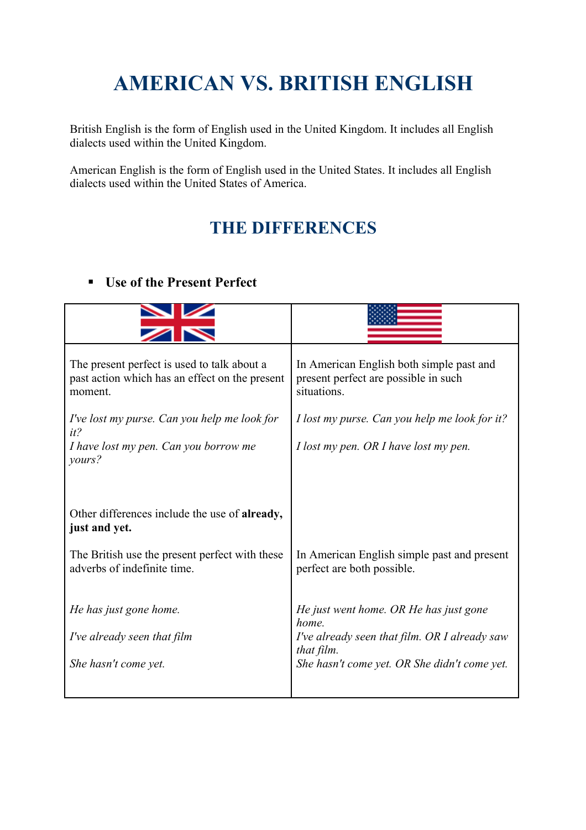# **AMERICAN VS. BRITISH ENGLISH**

British English is the form of English used in the United Kingdom. It includes all English dialects used within the United Kingdom.

American English is the form of English used in the United States. It includes all English dialects used within the United States of America.

# **THE DIFFERENCES**

#### **Use of the Present Perfect**

| The present perfect is used to talk about a<br>past action which has an effect on the present<br>moment. | In American English both simple past and<br>present perfect are possible in such<br>situations. |
|----------------------------------------------------------------------------------------------------------|-------------------------------------------------------------------------------------------------|
| I've lost my purse. Can you help me look for<br>$it$ ?                                                   | I lost my purse. Can you help me look for it?                                                   |
| I have lost my pen. Can you borrow me<br>yours?                                                          | I lost my pen. OR I have lost my pen.                                                           |
|                                                                                                          |                                                                                                 |
| Other differences include the use of already,<br>just and yet.                                           |                                                                                                 |
| The British use the present perfect with these<br>adverbs of indefinite time.                            | In American English simple past and present<br>perfect are both possible.                       |
| He has just gone home.                                                                                   | He just went home. OR He has just gone<br>home.                                                 |
| I've already seen that film                                                                              | I've already seen that film. OR I already saw<br>that film.                                     |
| She hasn't come yet.                                                                                     | She hasn't come yet. OR She didn't come yet.                                                    |
|                                                                                                          |                                                                                                 |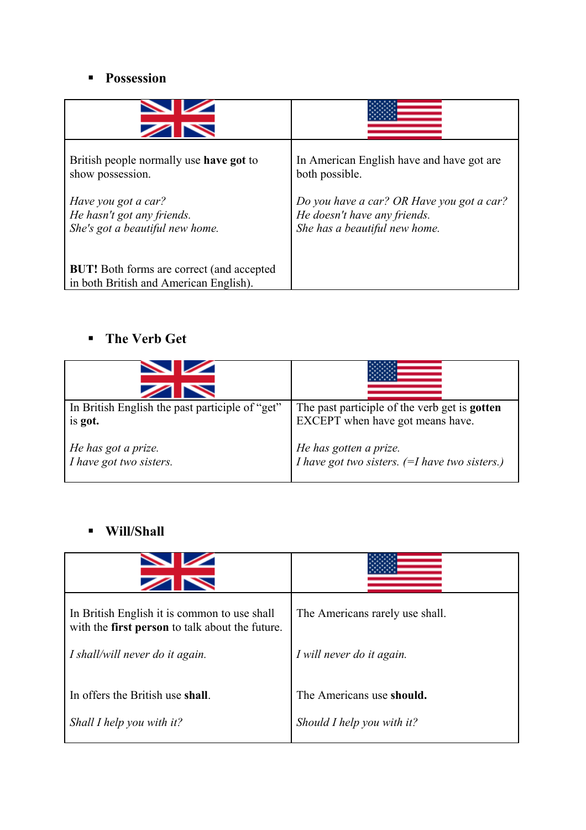#### **Possession**

| British people normally use <b>have got</b> to                                             | In American English have and have got are. |
|--------------------------------------------------------------------------------------------|--------------------------------------------|
| show possession.                                                                           | both possible.                             |
| Have you got a car?                                                                        | Do you have a car? OR Have you got a car?  |
| He hasn't got any friends.                                                                 | He doesn't have any friends.               |
| She's got a beautiful new home.                                                            | She has a beautiful new home.              |
| <b>BUT!</b> Both forms are correct (and accepted<br>in both British and American English). |                                            |

### **The Verb Get**

| In British English the past participle of "get" | The past participle of the verb get is <b>gotten</b>           |
|-------------------------------------------------|----------------------------------------------------------------|
| is got.                                         | EXCEPT when have got means have.                               |
| He has got a prize.                             | He has gotten a prize.                                         |
| I have got two sisters.                         | <i>I have got two sisters.</i> $(=I$ <i>have two sisters.)</i> |

#### **Will/Shall**

| $\overline{\phantom{0}}$                                                                        |                                 |
|-------------------------------------------------------------------------------------------------|---------------------------------|
| In British English it is common to use shall<br>with the first person to talk about the future. | The Americans rarely use shall. |
| I shall/will never do it again.                                                                 | I will never do it again.       |
| In offers the British use shall.                                                                | The Americans use should.       |
| Shall I help you with it?                                                                       | Should I help you with it?      |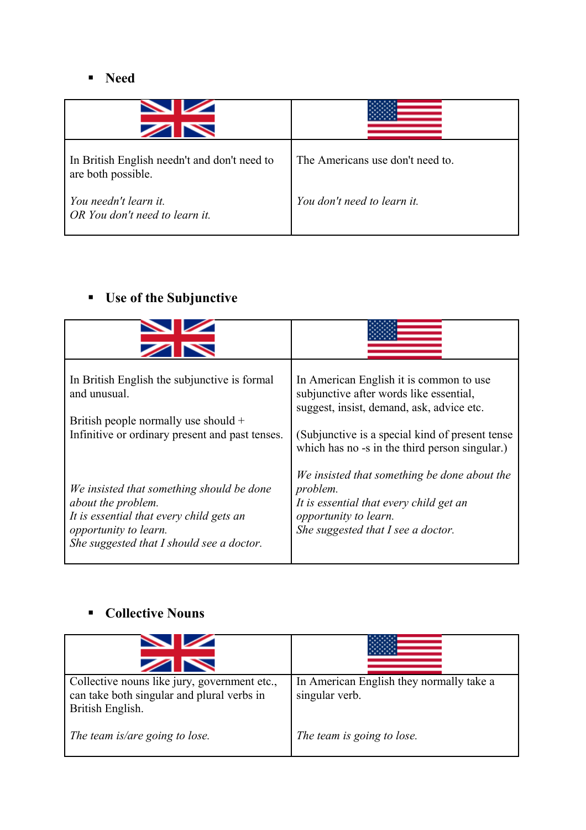#### **Need**

| In British English needn't and don't need to<br>are both possible. | The Americans use don't need to. |
|--------------------------------------------------------------------|----------------------------------|
| You needn't learn it.<br>OR You don't need to learn it.            | You don't need to learn it.      |

### **Use of the Subjunctive**

| In British English the subjunctive is formal<br>and unusual.<br>British people normally use should +<br>Infinitive or ordinary present and past tenses.                           | In American English it is common to use<br>subjunctive after words like essential,<br>suggest, insist, demand, ask, advice etc.<br>(Subjunctive is a special kind of present tense<br>which has no -s in the third person singular.) |
|-----------------------------------------------------------------------------------------------------------------------------------------------------------------------------------|--------------------------------------------------------------------------------------------------------------------------------------------------------------------------------------------------------------------------------------|
| We insisted that something should be done<br>about the problem.<br>It is essential that every child gets an<br>opportunity to learn.<br>She suggested that I should see a doctor. | We insisted that something be done about the<br>problem.<br>It is essential that every child get an<br>opportunity to learn.<br>She suggested that I see a doctor.                                                                   |

# **Collective Nouns**

| $\overline{\phantom{a}}$                                                                                       |                                                            |
|----------------------------------------------------------------------------------------------------------------|------------------------------------------------------------|
| Collective nouns like jury, government etc.,<br>can take both singular and plural verbs in<br>British English. | In American English they normally take a<br>singular verb. |
| The team is/are going to lose.                                                                                 | The team is going to lose.                                 |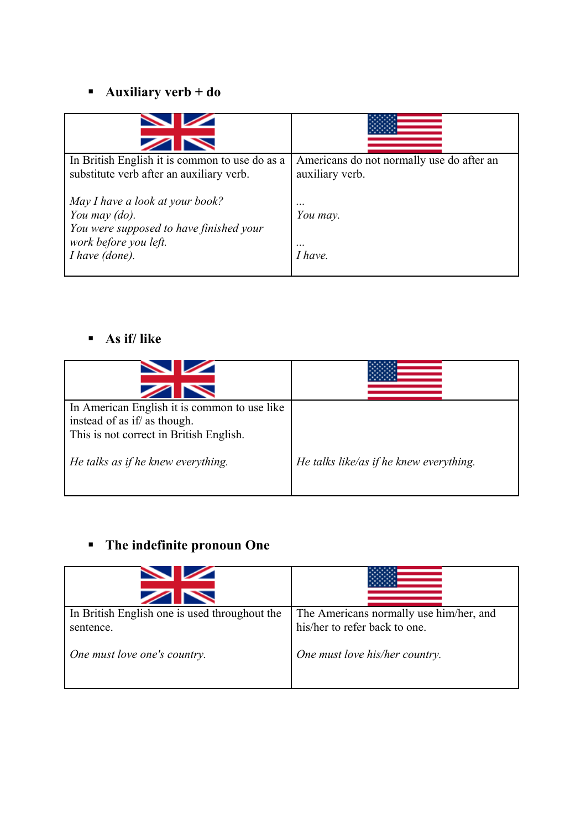# **Auxiliary verb + do**

| $\overline{\phantom{0}}$                                                                                             |                                                              |
|----------------------------------------------------------------------------------------------------------------------|--------------------------------------------------------------|
| In British English it is common to use do as a<br>substitute verb after an auxiliary verb.                           | Americans do not normally use do after an<br>auxiliary verb. |
| May I have a look at your book?<br>You may (do).<br>You were supposed to have finished your<br>work before you left. | $\cdots$<br>You may.<br>$\cdots$                             |
| I have (done).                                                                                                       | <i>I have</i>                                                |

#### **As if/ like**

| In American English it is common to use like<br>instead of as if/ as though. |                                         |
|------------------------------------------------------------------------------|-----------------------------------------|
| This is not correct in British English.                                      |                                         |
| He talks as if he knew everything.                                           | He talks like/as if he knew everything. |
|                                                                              |                                         |

# **The indefinite pronoun One**

| $\sim$                                                     |                                                                          |
|------------------------------------------------------------|--------------------------------------------------------------------------|
| In British English one is used throughout the<br>sentence. | The Americans normally use him/her, and<br>his/her to refer back to one. |
| One must love one's country.                               | One must love his/her country.                                           |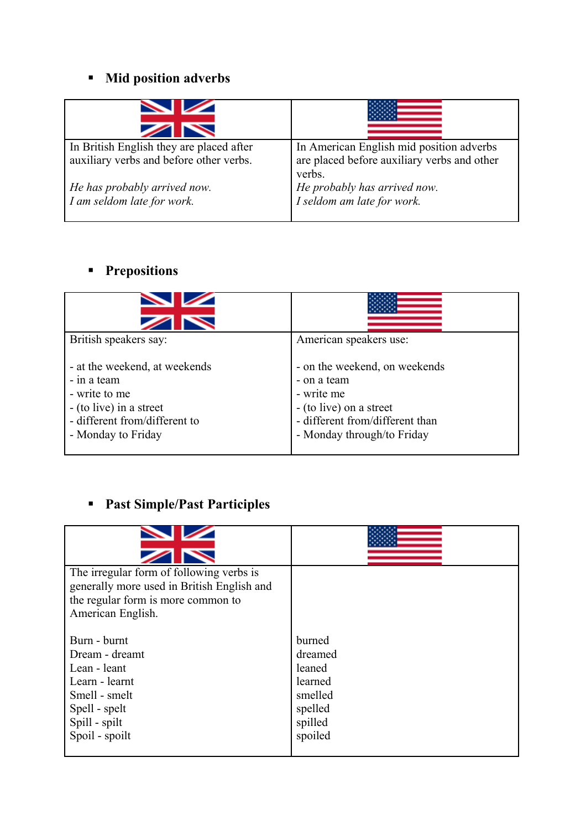### **Mid position adverbs**

| $\overline{\phantom{0}}$                                                            |                                                                                                   |
|-------------------------------------------------------------------------------------|---------------------------------------------------------------------------------------------------|
| In British English they are placed after<br>auxiliary verbs and before other verbs. | In American English mid position adverbs<br>are placed before auxiliary verbs and other<br>verbs. |
| He has probably arrived now.<br>I am seldom late for work.                          | He probably has arrived now.<br>I seldom am late for work.                                        |

# **Prepositions**

| $\overline{\phantom{0}}$                                                                                                                          |                                                                                                                                                        |
|---------------------------------------------------------------------------------------------------------------------------------------------------|--------------------------------------------------------------------------------------------------------------------------------------------------------|
| British speakers say:                                                                                                                             | American speakers use:                                                                                                                                 |
| - at the weekend, at weekends<br>- in a team<br>- write to me<br>$-$ (to live) in a street<br>- different from/different to<br>- Monday to Friday | - on the weekend, on weekends<br>- on a team<br>- write me<br>- (to live) on a street<br>- different from/different than<br>- Monday through/to Friday |

# **Past Simple/Past Participles**

| The irregular form of following verbs is<br>generally more used in British English and<br>the regular form is more common to<br>American English. |                                                                                    |
|---------------------------------------------------------------------------------------------------------------------------------------------------|------------------------------------------------------------------------------------|
| Burn - burnt<br>Dream - dreamt<br>Lean - leant<br>Learn - learnt<br>Smell - smelt<br>Spell - spelt<br>Spill - spilt<br>Spoil - spoilt             | burned<br>dreamed<br>leaned<br>learned<br>smelled<br>spelled<br>spilled<br>spoiled |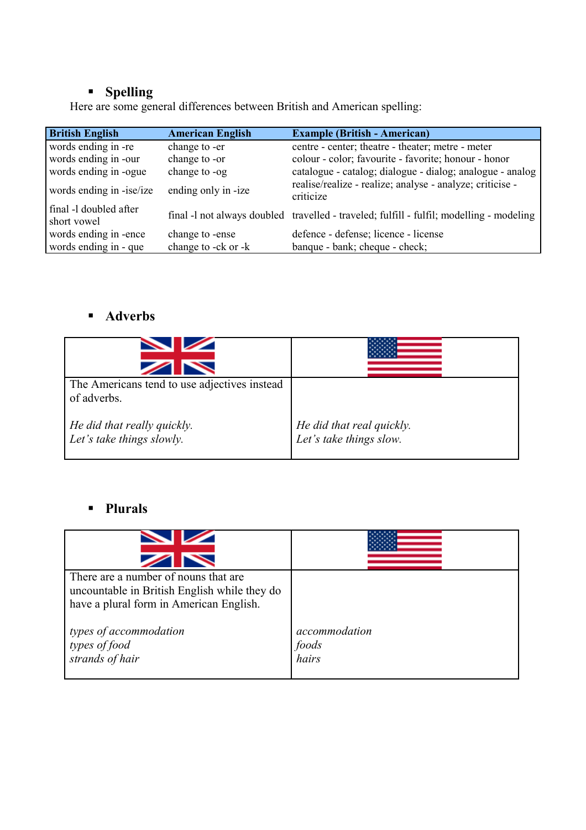#### **Spelling**

Here are some general differences between British and American spelling:

| <b>British English</b>                | <b>American English</b> | <b>Example (British - American)</b>                                                      |
|---------------------------------------|-------------------------|------------------------------------------------------------------------------------------|
| words ending in -re                   | change to -er           | centre - center; theatre - theater; metre - meter                                        |
| words ending in -our                  | change to -or           | colour - color; favourite - favorite; honour - honor                                     |
| words ending in -ogue                 | change to -og           | catalogue - catalog; dialogue - dialog; analogue - analog                                |
| words ending in -ise/ize              | ending only in -ize     | realise/realize - realize; analyse - analyze; criticise -<br>criticize                   |
| final -1 doubled after<br>short vowel |                         | final -1 not always doubled travelled - traveled; fulfill - fulfil; modelling - modeling |
| words ending in -ence                 | change to -ense         | defence - defense; licence - license                                                     |
| words ending in - que                 | change to -ck or -k     | banque - bank; cheque - check;                                                           |

#### **Adverbs**

| The Americans tend to use adjectives instead<br>of adverbs. |                                                      |
|-------------------------------------------------------------|------------------------------------------------------|
| He did that really quickly.<br>Let's take things slowly.    | He did that real quickly.<br>Let's take things slow. |

#### **Plurals**

| There are a number of nouns that are<br>uncountable in British English while they do<br>have a plural form in American English. |                                 |
|---------------------------------------------------------------------------------------------------------------------------------|---------------------------------|
| types of accommodation<br>types of food<br>strands of hair                                                                      | accommodation<br>foods<br>hairs |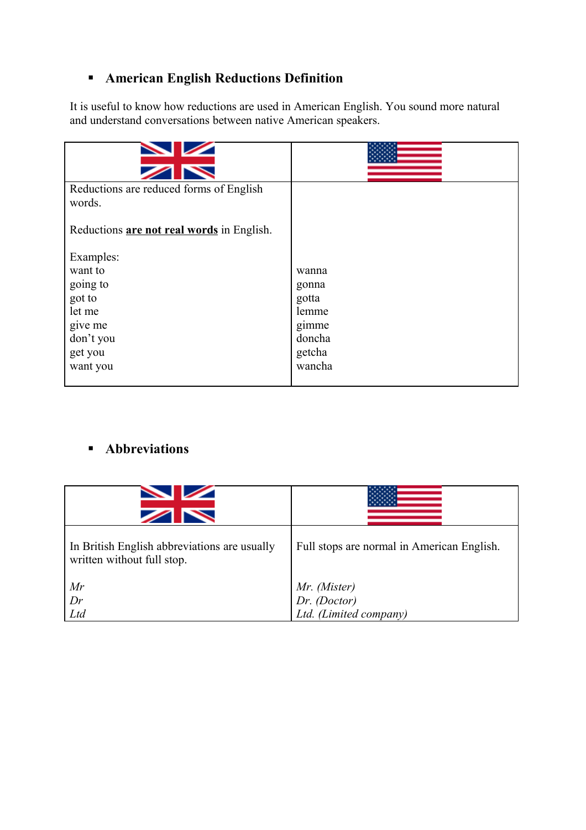### **American English Reductions Definition**

It is useful to know how reductions are used in American English. You sound more natural and understand conversations between native American speakers.

| Reductions are reduced forms of English<br>words. |        |
|---------------------------------------------------|--------|
| Reductions are not real words in English.         |        |
| Examples:                                         |        |
| want to                                           | wanna  |
| going to                                          | gonna  |
| got to                                            | gotta  |
| let me                                            | lemme  |
| give me                                           | gimme  |
| don't you                                         | doncha |
| get you                                           | getcha |
| want you                                          | wancha |

#### **Abbreviations**

| $\blacksquare$<br>$\blacktriangleright$                                    |                                                        |
|----------------------------------------------------------------------------|--------------------------------------------------------|
| In British English abbreviations are usually<br>written without full stop. | Full stops are normal in American English.             |
| Mr                                                                         | Mr. (Mister)<br>Dr. (Doctor)<br>Ltd. (Limited company) |
| Dr                                                                         |                                                        |
| Ltd                                                                        |                                                        |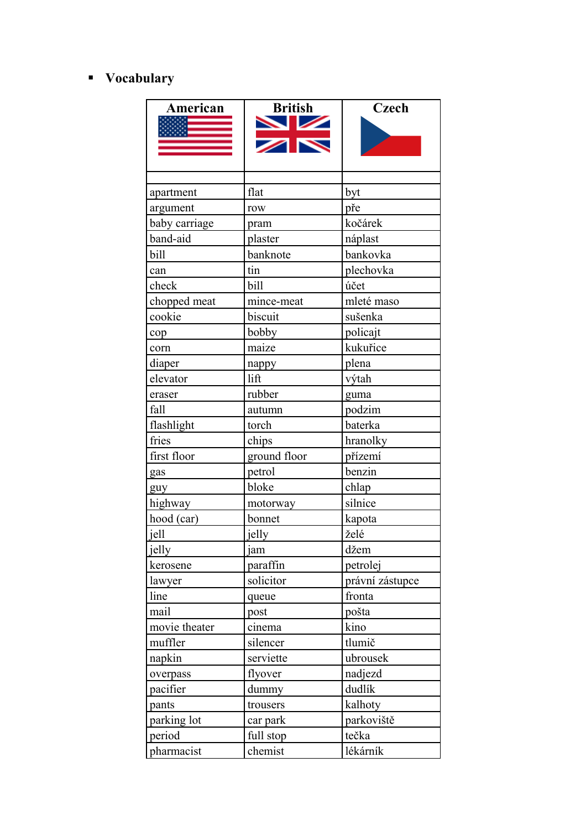### **Vocabulary**

| American       | <b>British</b><br>$\frac{\sum x}{\sum x}$ | <b>Czech</b>    |
|----------------|-------------------------------------------|-----------------|
| apartment      | flat                                      | byt             |
| argument       | row                                       | pře             |
| baby carriage  | pram                                      | kočárek         |
| band-aid       | plaster                                   | náplast         |
| bill           | banknote                                  | bankovka        |
| can            | tin                                       | plechovka       |
| check          | bill                                      | účet            |
| chopped meat   | mince-meat                                | mleté maso      |
| cookie         | biscuit                                   | sušenka         |
| cop            | bobby                                     | policajt        |
| corn           | maize                                     | kukuřice        |
| diaper         | nappy                                     | plena           |
| elevator       | lift                                      | výtah           |
| eraser         | rubber                                    | guma            |
| fall           | autumn                                    | podzim          |
| flashlight     | torch                                     | baterka         |
| fries          | chips                                     | hranolky        |
| first floor    | ground floor                              | přízemí         |
| gas            | petrol                                    | benzin          |
| guy            | bloke                                     | chlap           |
| highway        | motorway                                  | silnice         |
| hood (car)     | bonnet                                    | kapota          |
| jell           | jelly                                     | želé            |
| <u>  jelly</u> | jam                                       | džem            |
| kerosene       | paraffin                                  | petrolej        |
| lawyer         | solicitor                                 | právní zástupce |
| line           | queue                                     | fronta          |
| mail           | post                                      | pošta           |
| movie theater  | cinema                                    | kino            |
| muffler        | silencer                                  | tlumič          |
| napkin         | serviette                                 | ubrousek        |
| overpass       | flyover                                   | nadjezd         |
| pacifier       | dummy                                     | dudlík          |
| pants          | trousers                                  | kalhoty         |
| parking lot    | car park                                  | parkoviště      |
| period         | full stop                                 | tečka           |
| pharmacist     | chemist                                   | lékárník        |